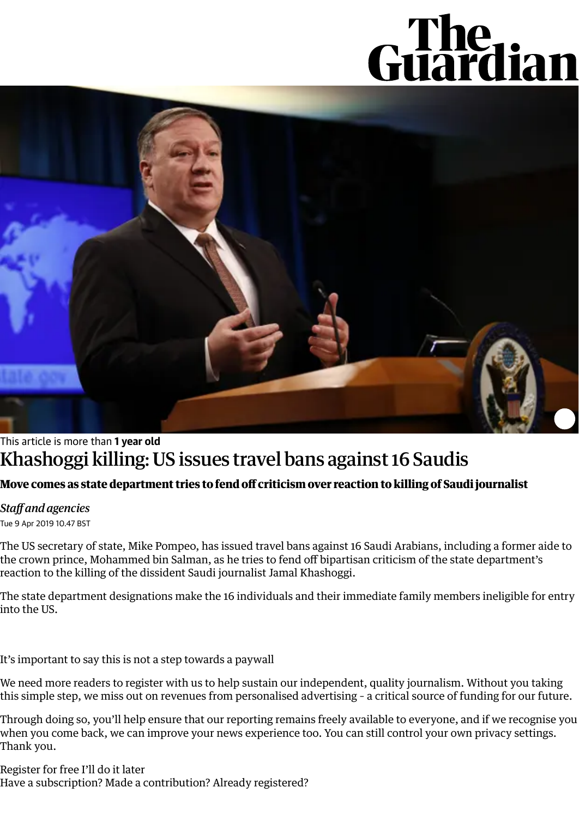## Guardian



## This article is more than **1 year old** Khashoggi killing:US issues travel bans against 16 Saudis

## **Move comes as state department tries to fend off criticism over reaction to killing of Saudi journalist**

## *Staff and agencies*

Tue 9 Apr 2019 10.47 BST

The US secretary of state, Mike Pompeo, has issued travel bans against 16 Saudi Arabians, including a former aide to the crown prince, Mohammed bin Salman, as he tries to fend off bipartisan criticism of the state department's reaction to the killing of the dissident Saudi journalist Jamal [Khashoggi.](https://www.theguardian.com/world/jamal-khashoggi)

The state department designations make the 16 individuals and their immediate family members ineligible for entry into the US.

It's important to say this is not a step towards a paywall

We need more readers to register with us to help sustain our independent, quality journalism. Without you taking this simple step, we miss out on revenues from personalised advertising – a critical source of funding for our future.

Through doing so, you'll help ensure that our reporting remains freely available to everyone, and if we recognise you when you come back, we can improve your news experience too. You can still control your own privacy settings. Thank you.

[Register](https://profile.theguardian.com/signin?returnUrl=https%3A%2F%2Fwww.theguardian.com%2Fworld%2F2019%2Fapr%2F09%2Fkhashoggi-killing-us-issues-travel-bans-against-16-saudis&componentEventParams=componentType%3Dsigningate%26componentId%3Dcentesimus_test_2%26abTestName%3DSignInGateCentesimus2%26abTestVariant%3Dcentesimus-control-2%26viewId%3Dkcd2i8gbitgvecotal2w%26browserId%3DZcv1GlrQJERQ26fl134kxHVg%26visitId%3DAXMtUqbg) for free I'll do it later Have a subscription? Made a contribution? Already registered?